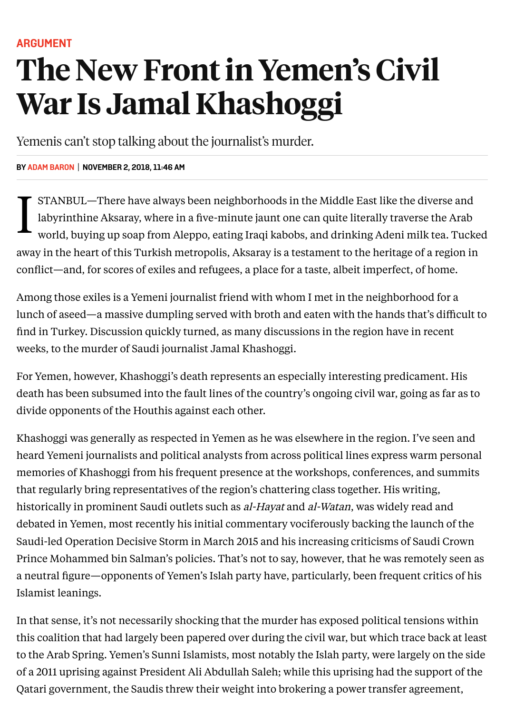## The New Front in Yemen's Civil War Is Jamal Khashoggi

Yemenis can't stop talking about the journalist's murder.

## **BY [ADAM BARON](https://foreignpolicy.com/author/adam-baron/) | NOVEMBER 2, 2018, 11:46 AM**

 $\prod_{y}$ STANBUL—There have always been neighborhoods in the Middle East like the diverse and labyrinthine Aksaray, where in a five-minute jaunt one can quite literally traverse the Arab world, buying up soap from Aleppo, eating Iraqi kabobs, and drinking Adeni milk tea. Tucked away in the heart of this Turkish metropolis, Aksaray is a testament to the heritage of a region in conflict—and, for scores of exiles and refugees, a place for a taste, albeit imperfect, of home.

Among those exiles is a Yemeni journalist friend with whom I met in the neighborhood for a lunch of aseed—a massive dumpling served with broth and eaten with the hands that's difficult to find in Turkey. Discussion quickly turned, as many discussions in the region have in recent weeks, to the murder of Saudi journalist Jamal Khashoggi.

For Yemen, however, Khashoggi's death represents an especially interesting predicament. His death has been subsumed into the fault lines of the country's ongoing civil war, going as far as to divide opponents of the Houthis against each other.

Khashoggi was generally as respected in Yemen as he was elsewhere in the region. I've seen and heard Yemeni journalists and political analysts from across political lines express warm personal memories of Khashoggi from his frequent presence at the workshops, conferences, and summits that regularly bring representatives of the region's chattering class together. His writing, historically in prominent Saudi outlets such as al-Hayat and al-Watan, was widely read and debated in Yemen, most recently his initial commentary vociferously backing the launch of the Saudi-led Operation Decisive Storm in March 2015 and his increasing criticisms of Saudi Crown Prince Mohammed bin Salman's policies. That's not to say, however, that he was remotely seen as a neutral figure—opponents of Yemen's Islah party have, particularly, been frequent critics of his Islamist leanings.

In that sense, it's not necessarily shocking that the murder has exposed political tensions within this coalition that had largely been papered over during the civil war, but which trace back at least to the Arab Spring. Yemen's Sunni Islamists, most notably the Islah party, were largely on the side of a 2011 uprising against President Ali Abdullah Saleh; while this uprising had the support of the Qatari government, the Saudis threw their weight into brokering a power transfer agreement,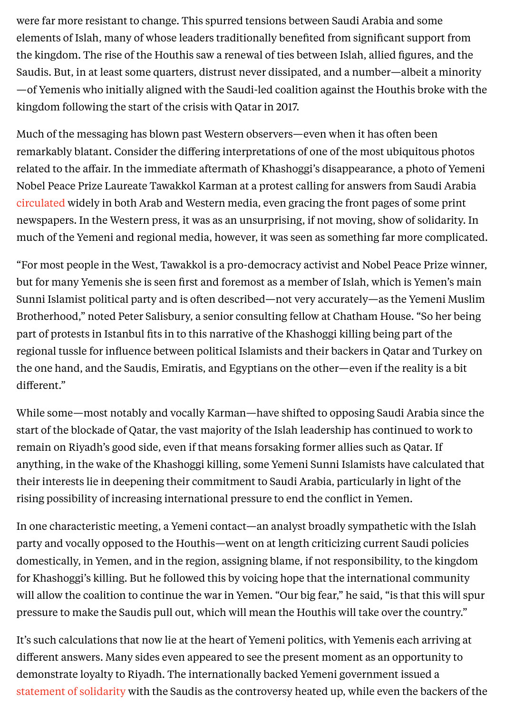were far more resistant to change. This spurred tensions between Saudi Arabia and some elements of Islah, many of whose leaders traditionally benefited from significant support from the kingdom. The rise of the Houthis saw a renewal of ties between Islah, allied figures, and the Saudis. But, in at least some quarters, distrust never dissipated, and a number—albeit a minority —of Yemenis who initially aligned with the Saudi-led coalition against the Houthis broke with the kingdom following the start of the crisis with Qatar in 2017.

Much of the messaging has blown past Western observers—even when it has often been remarkably blatant. Consider the differing interpretations of one of the most ubiquitous photos related to the affair. In the immediate aftermath of Khashoggi's disappearance, a photo of Yemeni Nobel Peace Prize Laureate Tawakkol Karman at a protest calling for answers from Saudi Arabia [circulated](https://www.theguardian.com/global-development/2018/oct/22/jamal-khashoggi-death-cannot-go-unpunished-yemeni-nobel-laureate-tawakkol-karman) widely in both Arab and Western media, even gracing the front pages of some print newspapers. In the Western press, it was as an unsurprising, if not moving, show of solidarity. In much of the Yemeni and regional media, however, it was seen as something far more complicated.

"For most people in the West, Tawakkol is a pro-democracy activist and Nobel Peace Prize winner, but for many Yemenis she is seen first and foremost as a member of Islah, which is Yemen's main Sunni Islamist political party and is often described—not very accurately—as the Yemeni Muslim Brotherhood," noted Peter Salisbury, a senior consulting fellow at Chatham House. "So her being part of protests in Istanbul fits in to this narrative of the Khashoggi killing being part of the regional tussle for influence between political Islamists and their backers in Qatar and Turkey on the one hand, and the Saudis, Emiratis, and Egyptians on the other—even if the reality is a bit different."

While some—most notably and vocally Karman—have shifted to opposing Saudi Arabia since the start of the blockade of Qatar, the vast majority of the Islah leadership has continued to work to remain on Riyadh's good side, even if that means forsaking former allies such as Qatar. If anything, in the wake of the Khashoggi killing, some Yemeni Sunni Islamists have calculated that their interests lie in deepening their commitment to Saudi Arabia, particularly in light of the rising possibility of increasing international pressure to end the conflict in Yemen.

In one characteristic meeting, a Yemeni contact—an analyst broadly sympathetic with the Islah party and vocally opposed to the Houthis—went on at length criticizing current Saudi policies domestically, in Yemen, and in the region, assigning blame, if not responsibility, to the kingdom for Khashoggi's killing. But he followed this by voicing hope that the international community will allow the coalition to continue the war in Yemen. "Our big fear," he said, "is that this will spur pressure to make the Saudis pull out, which will mean the Houthis will take over the country."

[statement](http://www.arabnews.com/node/1387726/saudi-arabia) of solidarity with the Saudis as the controversy heated up, while even the backers of the It's such calculations that now lie at the heart of Yemeni politics, with Yemenis each arriving at different answers. Many sides even appeared to see the present moment as an opportunity to demonstrate loyalty to Riyadh. The internationally backed Yemeni government issued a